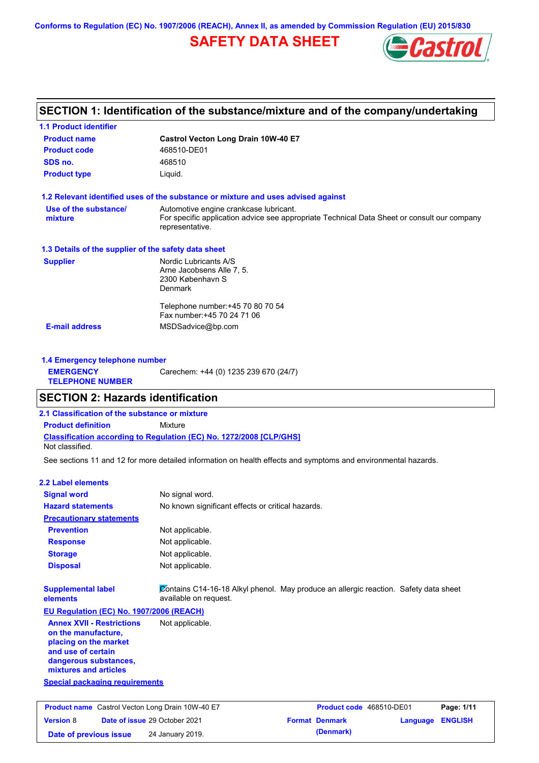**Conforms to Regulation (EC) No. 1907/2006 (REACH), Annex II, as amended by Commission Regulation (EU) 2015/830**

# **SAFETY DATA SHEET**



## **SECTION 1: Identification of the substance/mixture and of the company/undertaking**

| <b>1.1 Product identifier</b>                        |                                                                                                                                                          |
|------------------------------------------------------|----------------------------------------------------------------------------------------------------------------------------------------------------------|
| <b>Product name</b>                                  | Castrol Vecton Long Drain 10W-40 E7                                                                                                                      |
| <b>Product code</b>                                  | 468510-DE01                                                                                                                                              |
| SDS no.                                              | 468510                                                                                                                                                   |
| <b>Product type</b>                                  | Liquid.                                                                                                                                                  |
|                                                      | 1.2 Relevant identified uses of the substance or mixture and uses advised against                                                                        |
| Use of the substance/<br>mixture                     | Automotive engine crankcase lubricant.<br>For specific application advice see appropriate Technical Data Sheet or consult our company<br>representative. |
| 1.3 Details of the supplier of the safety data sheet |                                                                                                                                                          |
| <b>Supplier</b>                                      | Nordic Lubricants A/S<br>Arne Jacobsens Alle 7, 5.<br>2300 København S<br>Denmark                                                                        |
|                                                      | Telephone number: +45 70 80 70 54<br>Fax number: +45 70 24 71 06                                                                                         |
| <b>E-mail address</b>                                | MSDSadvice@bp.com                                                                                                                                        |
| 1.4 Emergency telephone number                       |                                                                                                                                                          |
| <b>EMERGENCY</b><br><b>TELEPHONE NUMBER</b>          | Carechem: +44 (0) 1235 239 670 (24/7)                                                                                                                    |

### **SECTION 2: Hazards identification**

**2.1 Classification of the substance or mixture**

**Classification according to Regulation (EC) No. 1272/2008 [CLP/GHS] Product definition** Mixture

Not classified.

See sections 11 and 12 for more detailed information on health effects and symptoms and environmental hazards.

#### **2.2 Label elements**

| <b>Signal word</b>                                                                                                                                       | No signal word.                                   |                                                                                      |          |                |
|----------------------------------------------------------------------------------------------------------------------------------------------------------|---------------------------------------------------|--------------------------------------------------------------------------------------|----------|----------------|
| <b>Hazard statements</b>                                                                                                                                 | No known significant effects or critical hazards. |                                                                                      |          |                |
| <b>Precautionary statements</b>                                                                                                                          |                                                   |                                                                                      |          |                |
| <b>Prevention</b>                                                                                                                                        | Not applicable.                                   |                                                                                      |          |                |
| <b>Response</b>                                                                                                                                          | Not applicable.                                   |                                                                                      |          |                |
| <b>Storage</b>                                                                                                                                           | Not applicable.                                   |                                                                                      |          |                |
| <b>Disposal</b>                                                                                                                                          | Not applicable.                                   |                                                                                      |          |                |
| <b>Supplemental label</b><br>elements                                                                                                                    | available on request.                             | Contains C14-16-18 Alkyl phenol. May produce an allergic reaction. Safety data sheet |          |                |
| EU Regulation (EC) No. 1907/2006 (REACH)                                                                                                                 |                                                   |                                                                                      |          |                |
| <b>Annex XVII - Restrictions</b><br>on the manufacture,<br>placing on the market<br>and use of certain<br>dangerous substances,<br>mixtures and articles | Not applicable.                                   |                                                                                      |          |                |
| <b>Special packaging requirements</b>                                                                                                                    |                                                   |                                                                                      |          |                |
| Product name Castrol Vecton Long Drain 10W-40 E7                                                                                                         |                                                   | Product code 468510-DE01                                                             |          | Page: 1/11     |
| <b>Version 8</b>                                                                                                                                         | Date of issue 29 October 2021                     | <b>Format Denmark</b>                                                                | Language | <b>ENGLISH</b> |
|                                                                                                                                                          |                                                   |                                                                                      |          |                |

**Date of previous issue** 24 January 2019. **(Denmark) (Denmark)**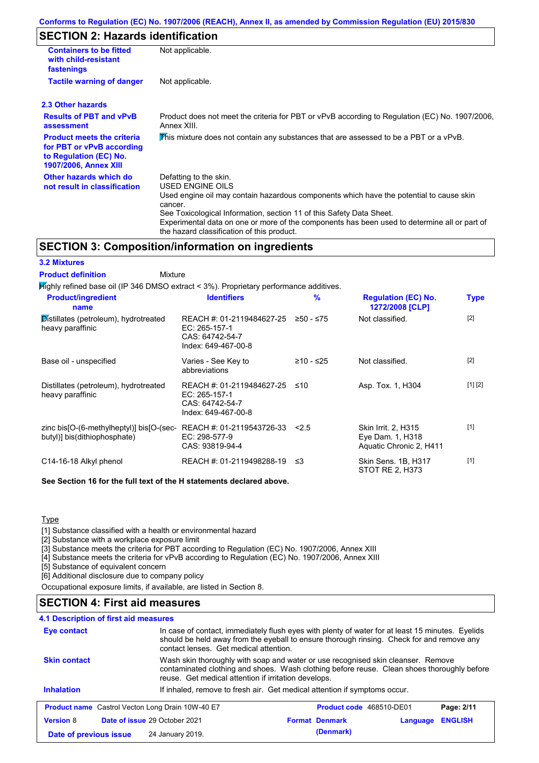## **SECTION 2: Hazards identification**

| <b>Containers to be fitted</b><br>with child-resistant<br>fastenings                                                     | Not applicable.                                                                                                                                                                                                                                                                                                                                                        |  |  |  |  |
|--------------------------------------------------------------------------------------------------------------------------|------------------------------------------------------------------------------------------------------------------------------------------------------------------------------------------------------------------------------------------------------------------------------------------------------------------------------------------------------------------------|--|--|--|--|
| <b>Tactile warning of danger</b>                                                                                         | Not applicable.                                                                                                                                                                                                                                                                                                                                                        |  |  |  |  |
| 2.3 Other hazards                                                                                                        |                                                                                                                                                                                                                                                                                                                                                                        |  |  |  |  |
| <b>Results of PBT and vPvB</b><br>assessment                                                                             | Product does not meet the criteria for PBT or vPvB according to Regulation (EC) No. 1907/2006,<br>Annex XIII.                                                                                                                                                                                                                                                          |  |  |  |  |
| <b>Product meets the criteria</b><br>for PBT or vPvB according<br>to Regulation (EC) No.<br><b>1907/2006, Annex XIII</b> | This mixture does not contain any substances that are assessed to be a PBT or a vPvB.                                                                                                                                                                                                                                                                                  |  |  |  |  |
| Other hazards which do<br>not result in classification                                                                   | Defatting to the skin.<br>USED ENGINE OILS<br>Used engine oil may contain hazardous components which have the potential to cause skin<br>cancer.<br>See Toxicological Information, section 11 of this Safety Data Sheet.<br>Experimental data on one or more of the components has been used to determine all or part of<br>the hazard classification of this product. |  |  |  |  |

### **SECTION 3: Composition/information on ingredients**

| <b>3.2 Mixtures</b>                                                                       |                                                                                      |               |                                                                    |             |
|-------------------------------------------------------------------------------------------|--------------------------------------------------------------------------------------|---------------|--------------------------------------------------------------------|-------------|
| <b>Product definition</b><br>Mixture                                                      |                                                                                      |               |                                                                    |             |
| $H$ ighly refined base oil (IP 346 DMSO extract < 3%). Proprietary performance additives. |                                                                                      |               |                                                                    |             |
| <b>Product/ingredient</b><br>name                                                         | <b>Identifiers</b>                                                                   | $\frac{9}{6}$ | <b>Regulation (EC) No.</b><br>1272/2008 [CLP]                      | <b>Type</b> |
| Distillates (petroleum), hydrotreated<br>heavy paraffinic                                 | REACH #: 01-2119484627-25<br>EC: 265-157-1<br>CAS: 64742-54-7<br>Index: 649-467-00-8 | $≥50 - ≤75$   | Not classified.                                                    | $[2]$       |
| Base oil - unspecified                                                                    | Varies - See Key to<br>abbreviations                                                 | $≥10 - ≤25$   | Not classified.                                                    | $[2]$       |
| Distillates (petroleum), hydrotreated<br>heavy paraffinic                                 | REACH #: 01-2119484627-25<br>EC: 265-157-1<br>CAS: 64742-54-7<br>Index: 649-467-00-8 | ≤10           | Asp. Tox. 1, H304                                                  | [1] [2]     |
| zinc bis[O-(6-methylheptyl)] bis[O-(sec-<br>butyl)] bis(dithiophosphate)                  | REACH #: 01-2119543726-33<br>EC: 298-577-9<br>CAS: 93819-94-4                        | 2.5           | Skin Irrit. 2, H315<br>Eye Dam. 1, H318<br>Aquatic Chronic 2, H411 | [1]         |
| C14-16-18 Alkyl phenol                                                                    | REACH #: 01-2119498288-19                                                            | ≤3            | Skin Sens. 1B, H317<br>STOT RE 2, H373                             | $[1]$       |

**See Section 16 for the full text of the H statements declared above.**

**Type** 

[1] Substance classified with a health or environmental hazard

[2] Substance with a workplace exposure limit

[3] Substance meets the criteria for PBT according to Regulation (EC) No. 1907/2006, Annex XIII

[4] Substance meets the criteria for vPvB according to Regulation (EC) No. 1907/2006, Annex XIII

[5] Substance of equivalent concern

[6] Additional disclosure due to company policy

Occupational exposure limits, if available, are listed in Section 8.

## **SECTION 4: First aid measures**

| 4.1 Description of first aid measures                   |                                                                                                                                                                                                                                        |                                                                                                                                                                                                                                         |                            |  |
|---------------------------------------------------------|----------------------------------------------------------------------------------------------------------------------------------------------------------------------------------------------------------------------------------------|-----------------------------------------------------------------------------------------------------------------------------------------------------------------------------------------------------------------------------------------|----------------------------|--|
| Eye contact                                             |                                                                                                                                                                                                                                        | In case of contact, immediately flush eyes with plenty of water for at least 15 minutes. Eyelids<br>should be held away from the eyeball to ensure thorough rinsing. Check for and remove any<br>contact lenses. Get medical attention. |                            |  |
| <b>Skin contact</b>                                     | Wash skin thoroughly with soap and water or use recognised skin cleanser. Remove<br>contaminated clothing and shoes. Wash clothing before reuse. Clean shoes thoroughly before<br>reuse. Get medical attention if irritation develops. |                                                                                                                                                                                                                                         |                            |  |
| <b>Inhalation</b>                                       |                                                                                                                                                                                                                                        | If inhaled, remove to fresh air. Get medical attention if symptoms occur.                                                                                                                                                               |                            |  |
| <b>Product name</b> Castrol Vecton Long Drain 10W-40 E7 |                                                                                                                                                                                                                                        | Product code 468510-DE01                                                                                                                                                                                                                | Page: 2/11                 |  |
| <b>Version 8</b>                                        | <b>Date of issue 29 October 2021</b>                                                                                                                                                                                                   | <b>Format Denmark</b>                                                                                                                                                                                                                   | <b>ENGLISH</b><br>Language |  |
| Date of previous issue                                  | 24 January 2019.                                                                                                                                                                                                                       | (Denmark)                                                                                                                                                                                                                               |                            |  |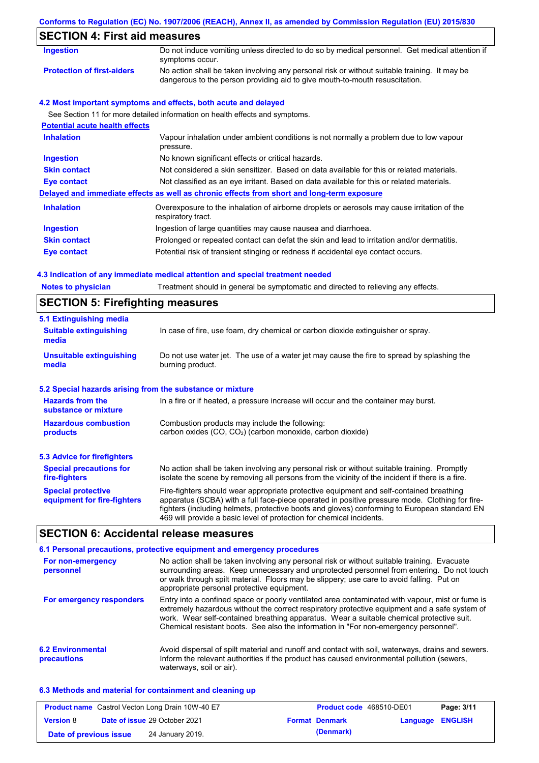## **Conforms to Regulation (EC) No. 1907/2006 (REACH), Annex II, as amended by Commission Regulation (EU) 2015/830 SECTION 4: First aid measures** Do not induce vomiting unless directed to do so by medical personnel. Get medical attention if symptoms occur. **Ingestion Protection of first-aiders** No action shall be taken involving any personal risk or without suitable training. It may be dangerous to the person providing aid to give mouth-to-mouth resuscitation. **4.2 Most important symptoms and effects, both acute and delayed** See Section 11 for more detailed information on health effects and symptoms. **Potential acute health effects Inhalation** Vapour inhalation under ambient conditions is not normally a problem due to low vapour

|                     | pressure.                                                                                                         |
|---------------------|-------------------------------------------------------------------------------------------------------------------|
| <b>Ingestion</b>    | No known significant effects or critical hazards.                                                                 |
| <b>Skin contact</b> | Not considered a skin sensitizer. Based on data available for this or related materials.                          |
| Eye contact         | Not classified as an eye irritant. Based on data available for this or related materials.                         |
|                     | Delayed and immediate effects as well as chronic effects from short and long-term exposure                        |
| <b>Inhalation</b>   | Overexposure to the inhalation of airborne droplets or aerosols may cause irritation of the<br>respiratory tract. |
| <b>Ingestion</b>    | Ingestion of large quantities may cause nausea and diarrhoea.                                                     |
| <b>Skin contact</b> | Prolonged or repeated contact can defat the skin and lead to irritation and/or dermatitis.                        |
| Eye contact         | Potential risk of transient stinging or redness if accidental eye contact occurs.                                 |

### **4.3 Indication of any immediate medical attention and special treatment needed**

| <b>Notes to physician</b> | Treatment should in general be symptomatic and directed to relieving any effects. |
|---------------------------|-----------------------------------------------------------------------------------|
|                           |                                                                                   |

# **SECTION 5: Firefighting measures**

| 5.1 Extinguishing media                                                                                                                |                                                                                                                                                                                                                                                                                                                                                                   |  |  |
|----------------------------------------------------------------------------------------------------------------------------------------|-------------------------------------------------------------------------------------------------------------------------------------------------------------------------------------------------------------------------------------------------------------------------------------------------------------------------------------------------------------------|--|--|
| <b>Suitable extinguishing</b><br>media                                                                                                 | In case of fire, use foam, dry chemical or carbon dioxide extinguisher or spray.                                                                                                                                                                                                                                                                                  |  |  |
| <b>Unsuitable extinguishing</b><br>media                                                                                               | Do not use water jet. The use of a water jet may cause the fire to spread by splashing the<br>burning product.                                                                                                                                                                                                                                                    |  |  |
| 5.2 Special hazards arising from the substance or mixture                                                                              |                                                                                                                                                                                                                                                                                                                                                                   |  |  |
| <b>Hazards from the</b><br>In a fire or if heated, a pressure increase will occur and the container may burst.<br>substance or mixture |                                                                                                                                                                                                                                                                                                                                                                   |  |  |
| <b>Hazardous combustion</b><br>products                                                                                                | Combustion products may include the following:<br>carbon oxides $(CO, CO2)$ (carbon monoxide, carbon dioxide)                                                                                                                                                                                                                                                     |  |  |
| 5.3 Advice for firefighters                                                                                                            |                                                                                                                                                                                                                                                                                                                                                                   |  |  |
| <b>Special precautions for</b><br>fire-fighters                                                                                        | No action shall be taken involving any personal risk or without suitable training. Promptly<br>isolate the scene by removing all persons from the vicinity of the incident if there is a fire.                                                                                                                                                                    |  |  |
| <b>Special protective</b><br>equipment for fire-fighters                                                                               | Fire-fighters should wear appropriate protective equipment and self-contained breathing<br>apparatus (SCBA) with a full face-piece operated in positive pressure mode. Clothing for fire-<br>fighters (including helmets, protective boots and gloves) conforming to European standard EN<br>469 will provide a basic level of protection for chemical incidents. |  |  |

## **SECTION 6: Accidental release measures**

|                                         | 6.1 Personal precautions, protective equipment and emergency procedures                                                                                                                                                                                                                                                                                                              |
|-----------------------------------------|--------------------------------------------------------------------------------------------------------------------------------------------------------------------------------------------------------------------------------------------------------------------------------------------------------------------------------------------------------------------------------------|
| For non-emergency<br>personnel          | No action shall be taken involving any personal risk or without suitable training. Evacuate<br>surrounding areas. Keep unnecessary and unprotected personnel from entering. Do not touch<br>or walk through spilt material. Floors may be slippery; use care to avoid falling. Put on<br>appropriate personal protective equipment.                                                  |
| For emergency responders                | Entry into a confined space or poorly ventilated area contaminated with vapour, mist or fume is<br>extremely hazardous without the correct respiratory protective equipment and a safe system of<br>work. Wear self-contained breathing apparatus. Wear a suitable chemical protective suit.<br>Chemical resistant boots. See also the information in "For non-emergency personnel". |
| <b>6.2 Environmental</b><br>precautions | Avoid dispersal of spilt material and runoff and contact with soil, waterways, drains and sewers.<br>Inform the relevant authorities if the product has caused environmental pollution (sewers,<br>waterways, soil or air).                                                                                                                                                          |

### **6.3 Methods and material for containment and cleaning up**

|                        | <b>Product name</b> Castrol Vecton Long Drain 10W-40 E7 | <b>Product code</b> 468510-DE01 |                         | Page: 3/11 |
|------------------------|---------------------------------------------------------|---------------------------------|-------------------------|------------|
| <b>Version 8</b>       | <b>Date of issue 29 October 2021</b>                    | <b>Format Denmark</b>           | <b>Language ENGLISH</b> |            |
| Date of previous issue | 24 January 2019.                                        | (Denmark)                       |                         |            |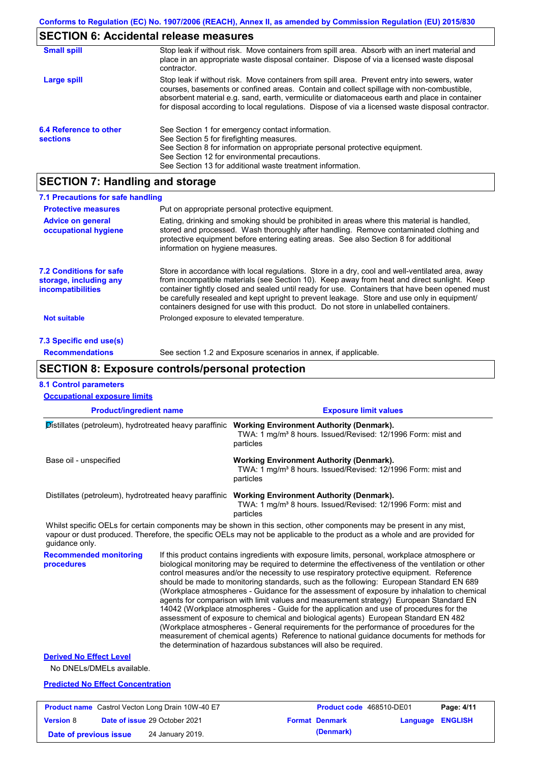# **SECTION 6: Accidental release measures**

| <b>Small spill</b>                        | Stop leak if without risk. Move containers from spill area. Absorb with an inert material and<br>place in an appropriate waste disposal container. Dispose of via a licensed waste disposal<br>contractor.                                                                                                                                                                                     |
|-------------------------------------------|------------------------------------------------------------------------------------------------------------------------------------------------------------------------------------------------------------------------------------------------------------------------------------------------------------------------------------------------------------------------------------------------|
| Large spill                               | Stop leak if without risk. Move containers from spill area. Prevent entry into sewers, water<br>courses, basements or confined areas. Contain and collect spillage with non-combustible,<br>absorbent material e.g. sand, earth, vermiculite or diatomaceous earth and place in container<br>for disposal according to local regulations. Dispose of via a licensed waste disposal contractor. |
| 6.4 Reference to other<br><b>sections</b> | See Section 1 for emergency contact information.<br>See Section 5 for firefighting measures.<br>See Section 8 for information on appropriate personal protective equipment.<br>See Section 12 for environmental precautions.<br>See Section 13 for additional waste treatment information.                                                                                                     |

# **SECTION 7: Handling and storage**

| 7.1 Precautions for safe handling                                                    |                                                                                                                                                                                                                                                                                                                                                                                                                                                                                          |
|--------------------------------------------------------------------------------------|------------------------------------------------------------------------------------------------------------------------------------------------------------------------------------------------------------------------------------------------------------------------------------------------------------------------------------------------------------------------------------------------------------------------------------------------------------------------------------------|
| <b>Protective measures</b>                                                           | Put on appropriate personal protective equipment.                                                                                                                                                                                                                                                                                                                                                                                                                                        |
| <b>Advice on general</b><br>occupational hygiene                                     | Eating, drinking and smoking should be prohibited in areas where this material is handled,<br>stored and processed. Wash thoroughly after handling. Remove contaminated clothing and<br>protective equipment before entering eating areas. See also Section 8 for additional<br>information on hygiene measures.                                                                                                                                                                         |
| <b>7.2 Conditions for safe</b><br>storage, including any<br><i>incompatibilities</i> | Store in accordance with local requlations. Store in a dry, cool and well-ventilated area, away<br>from incompatible materials (see Section 10). Keep away from heat and direct sunlight. Keep<br>container tightly closed and sealed until ready for use. Containers that have been opened must<br>be carefully resealed and kept upright to prevent leakage. Store and use only in equipment/<br>containers designed for use with this product. Do not store in unlabelled containers. |
| <b>Not suitable</b>                                                                  | Prolonged exposure to elevated temperature.                                                                                                                                                                                                                                                                                                                                                                                                                                              |
| 7.3 Specific end use(s)                                                              |                                                                                                                                                                                                                                                                                                                                                                                                                                                                                          |
| <b>Recommendations</b>                                                               | See section 1.2 and Exposure scenarios in annex, if applicable.                                                                                                                                                                                                                                                                                                                                                                                                                          |

## **SECTION 8: Exposure controls/personal protection**

**Date of previous issue** 24 January 2019. **(Denmark)** (Denmark)

### **8.1 Control parameters**

| <b>Occupational exposure limits</b>                     |  |                                                                                                                                                                                                                                                                                                                                                                                                                                                                                                                                                                                                                                                                                                                                                                                                                                                                                                                                                                                                                            |                              |                |  |  |  |
|---------------------------------------------------------|--|----------------------------------------------------------------------------------------------------------------------------------------------------------------------------------------------------------------------------------------------------------------------------------------------------------------------------------------------------------------------------------------------------------------------------------------------------------------------------------------------------------------------------------------------------------------------------------------------------------------------------------------------------------------------------------------------------------------------------------------------------------------------------------------------------------------------------------------------------------------------------------------------------------------------------------------------------------------------------------------------------------------------------|------------------------------|----------------|--|--|--|
| <b>Product/ingredient name</b>                          |  |                                                                                                                                                                                                                                                                                                                                                                                                                                                                                                                                                                                                                                                                                                                                                                                                                                                                                                                                                                                                                            | <b>Exposure limit values</b> |                |  |  |  |
|                                                         |  | Distillates (petroleum), hydrotreated heavy paraffinic Working Environment Authority (Denmark).<br>TWA: 1 mg/m <sup>3</sup> 8 hours. Issued/Revised: 12/1996 Form: mist and<br>particles<br><b>Working Environment Authority (Denmark).</b><br>TWA: 1 mg/m <sup>3</sup> 8 hours. Issued/Revised: 12/1996 Form: mist and<br>particles                                                                                                                                                                                                                                                                                                                                                                                                                                                                                                                                                                                                                                                                                       |                              |                |  |  |  |
| Base oil - unspecified                                  |  |                                                                                                                                                                                                                                                                                                                                                                                                                                                                                                                                                                                                                                                                                                                                                                                                                                                                                                                                                                                                                            |                              |                |  |  |  |
| Distillates (petroleum), hydrotreated heavy paraffinic  |  | <b>Working Environment Authority (Denmark).</b><br>TWA: 1 mg/m <sup>3</sup> 8 hours. Issued/Revised: 12/1996 Form: mist and<br>particles                                                                                                                                                                                                                                                                                                                                                                                                                                                                                                                                                                                                                                                                                                                                                                                                                                                                                   |                              |                |  |  |  |
| quidance only.                                          |  | Whilst specific OELs for certain components may be shown in this section, other components may be present in any mist,<br>vapour or dust produced. Therefore, the specific OELs may not be applicable to the product as a whole and are provided for                                                                                                                                                                                                                                                                                                                                                                                                                                                                                                                                                                                                                                                                                                                                                                       |                              |                |  |  |  |
| <b>Recommended monitoring</b><br>procedures             |  | If this product contains ingredients with exposure limits, personal, workplace atmosphere or<br>biological monitoring may be required to determine the effectiveness of the ventilation or other<br>control measures and/or the necessity to use respiratory protective equipment. Reference<br>should be made to monitoring standards, such as the following: European Standard EN 689<br>(Workplace atmospheres - Guidance for the assessment of exposure by inhalation to chemical<br>agents for comparison with limit values and measurement strategy) European Standard EN<br>14042 (Workplace atmospheres - Guide for the application and use of procedures for the<br>assessment of exposure to chemical and biological agents) European Standard EN 482<br>(Workplace atmospheres - General requirements for the performance of procedures for the<br>measurement of chemical agents) Reference to national guidance documents for methods for<br>the determination of hazardous substances will also be required. |                              |                |  |  |  |
| <b>Derived No Effect Level</b>                          |  |                                                                                                                                                                                                                                                                                                                                                                                                                                                                                                                                                                                                                                                                                                                                                                                                                                                                                                                                                                                                                            |                              |                |  |  |  |
| No DNELs/DMELs available.                               |  |                                                                                                                                                                                                                                                                                                                                                                                                                                                                                                                                                                                                                                                                                                                                                                                                                                                                                                                                                                                                                            |                              |                |  |  |  |
| <b>Predicted No Effect Concentration</b>                |  |                                                                                                                                                                                                                                                                                                                                                                                                                                                                                                                                                                                                                                                                                                                                                                                                                                                                                                                                                                                                                            |                              |                |  |  |  |
| <b>Product name</b> Castrol Vecton Long Drain 10W-40 E7 |  |                                                                                                                                                                                                                                                                                                                                                                                                                                                                                                                                                                                                                                                                                                                                                                                                                                                                                                                                                                                                                            | Product code 468510-DE01     | Page: 4/11     |  |  |  |
| Date of issue 29 October 2021<br><b>Version 8</b>       |  | <b>Format Denmark</b>                                                                                                                                                                                                                                                                                                                                                                                                                                                                                                                                                                                                                                                                                                                                                                                                                                                                                                                                                                                                      | Language                     | <b>ENGLISH</b> |  |  |  |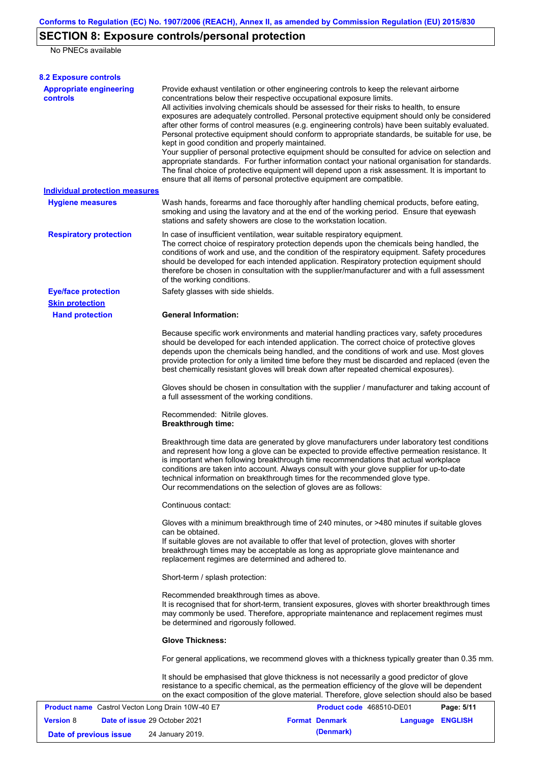# **SECTION 8: Exposure controls/personal protection**

No PNECs available

| <b>8.2 Exposure controls</b>                      |                                                                                                                                                                                                                                                                                                                                                                                                                                                                                                                                                                                                                                                                                                                                                                                                                                                                                                                                                                                                         |                          |                  |            |
|---------------------------------------------------|---------------------------------------------------------------------------------------------------------------------------------------------------------------------------------------------------------------------------------------------------------------------------------------------------------------------------------------------------------------------------------------------------------------------------------------------------------------------------------------------------------------------------------------------------------------------------------------------------------------------------------------------------------------------------------------------------------------------------------------------------------------------------------------------------------------------------------------------------------------------------------------------------------------------------------------------------------------------------------------------------------|--------------------------|------------------|------------|
| <b>Appropriate engineering</b><br><b>controls</b> | Provide exhaust ventilation or other engineering controls to keep the relevant airborne<br>concentrations below their respective occupational exposure limits.<br>All activities involving chemicals should be assessed for their risks to health, to ensure<br>exposures are adequately controlled. Personal protective equipment should only be considered<br>after other forms of control measures (e.g. engineering controls) have been suitably evaluated.<br>Personal protective equipment should conform to appropriate standards, be suitable for use, be<br>kept in good condition and properly maintained.<br>Your supplier of personal protective equipment should be consulted for advice on selection and<br>appropriate standards. For further information contact your national organisation for standards.<br>The final choice of protective equipment will depend upon a risk assessment. It is important to<br>ensure that all items of personal protective equipment are compatible. |                          |                  |            |
| <b>Individual protection measures</b>             |                                                                                                                                                                                                                                                                                                                                                                                                                                                                                                                                                                                                                                                                                                                                                                                                                                                                                                                                                                                                         |                          |                  |            |
| <b>Hygiene measures</b>                           | Wash hands, forearms and face thoroughly after handling chemical products, before eating,<br>smoking and using the lavatory and at the end of the working period. Ensure that eyewash<br>stations and safety showers are close to the workstation location.                                                                                                                                                                                                                                                                                                                                                                                                                                                                                                                                                                                                                                                                                                                                             |                          |                  |            |
| <b>Respiratory protection</b>                     | In case of insufficient ventilation, wear suitable respiratory equipment.<br>The correct choice of respiratory protection depends upon the chemicals being handled, the<br>conditions of work and use, and the condition of the respiratory equipment. Safety procedures<br>should be developed for each intended application. Respiratory protection equipment should<br>therefore be chosen in consultation with the supplier/manufacturer and with a full assessment<br>of the working conditions.                                                                                                                                                                                                                                                                                                                                                                                                                                                                                                   |                          |                  |            |
| <b>Eye/face protection</b>                        | Safety glasses with side shields.                                                                                                                                                                                                                                                                                                                                                                                                                                                                                                                                                                                                                                                                                                                                                                                                                                                                                                                                                                       |                          |                  |            |
| <b>Skin protection</b>                            |                                                                                                                                                                                                                                                                                                                                                                                                                                                                                                                                                                                                                                                                                                                                                                                                                                                                                                                                                                                                         |                          |                  |            |
| <b>Hand protection</b>                            | <b>General Information:</b><br>Because specific work environments and material handling practices vary, safety procedures<br>should be developed for each intended application. The correct choice of protective gloves<br>depends upon the chemicals being handled, and the conditions of work and use. Most gloves<br>provide protection for only a limited time before they must be discarded and replaced (even the<br>best chemically resistant gloves will break down after repeated chemical exposures).                                                                                                                                                                                                                                                                                                                                                                                                                                                                                         |                          |                  |            |
|                                                   | Gloves should be chosen in consultation with the supplier / manufacturer and taking account of<br>a full assessment of the working conditions.                                                                                                                                                                                                                                                                                                                                                                                                                                                                                                                                                                                                                                                                                                                                                                                                                                                          |                          |                  |            |
|                                                   | Recommended: Nitrile gloves.<br><b>Breakthrough time:</b>                                                                                                                                                                                                                                                                                                                                                                                                                                                                                                                                                                                                                                                                                                                                                                                                                                                                                                                                               |                          |                  |            |
|                                                   | Breakthrough time data are generated by glove manufacturers under laboratory test conditions<br>and represent how long a glove can be expected to provide effective permeation resistance. It<br>is important when following breakthrough time recommendations that actual workplace<br>conditions are taken into account. Always consult with your glove supplier for up-to-date<br>technical information on breakthrough times for the recommended glove type.<br>Our recommendations on the selection of gloves are as follows:                                                                                                                                                                                                                                                                                                                                                                                                                                                                      |                          |                  |            |
|                                                   | Continuous contact:                                                                                                                                                                                                                                                                                                                                                                                                                                                                                                                                                                                                                                                                                                                                                                                                                                                                                                                                                                                     |                          |                  |            |
|                                                   | Gloves with a minimum breakthrough time of 240 minutes, or >480 minutes if suitable gloves<br>can be obtained.<br>If suitable gloves are not available to offer that level of protection, gloves with shorter<br>breakthrough times may be acceptable as long as appropriate glove maintenance and<br>replacement regimes are determined and adhered to.                                                                                                                                                                                                                                                                                                                                                                                                                                                                                                                                                                                                                                                |                          |                  |            |
|                                                   | Short-term / splash protection:                                                                                                                                                                                                                                                                                                                                                                                                                                                                                                                                                                                                                                                                                                                                                                                                                                                                                                                                                                         |                          |                  |            |
|                                                   | Recommended breakthrough times as above.<br>It is recognised that for short-term, transient exposures, gloves with shorter breakthrough times<br>may commonly be used. Therefore, appropriate maintenance and replacement regimes must<br>be determined and rigorously followed.                                                                                                                                                                                                                                                                                                                                                                                                                                                                                                                                                                                                                                                                                                                        |                          |                  |            |
|                                                   | <b>Glove Thickness:</b>                                                                                                                                                                                                                                                                                                                                                                                                                                                                                                                                                                                                                                                                                                                                                                                                                                                                                                                                                                                 |                          |                  |            |
|                                                   | For general applications, we recommend gloves with a thickness typically greater than 0.35 mm.                                                                                                                                                                                                                                                                                                                                                                                                                                                                                                                                                                                                                                                                                                                                                                                                                                                                                                          |                          |                  |            |
|                                                   | It should be emphasised that glove thickness is not necessarily a good predictor of glove<br>resistance to a specific chemical, as the permeation efficiency of the glove will be dependent<br>on the exact composition of the glove material. Therefore, glove selection should also be based                                                                                                                                                                                                                                                                                                                                                                                                                                                                                                                                                                                                                                                                                                          |                          |                  |            |
| Product name Castrol Vecton Long Drain 10W-40 E7  |                                                                                                                                                                                                                                                                                                                                                                                                                                                                                                                                                                                                                                                                                                                                                                                                                                                                                                                                                                                                         | Product code 468510-DE01 |                  | Page: 5/11 |
| Date of issue 29 October 2021<br><b>Version 8</b> |                                                                                                                                                                                                                                                                                                                                                                                                                                                                                                                                                                                                                                                                                                                                                                                                                                                                                                                                                                                                         | <b>Format Denmark</b>    | Language ENGLISH |            |

**Date of previous issue** 24 January 2019. **(Denmark) (Denmark)**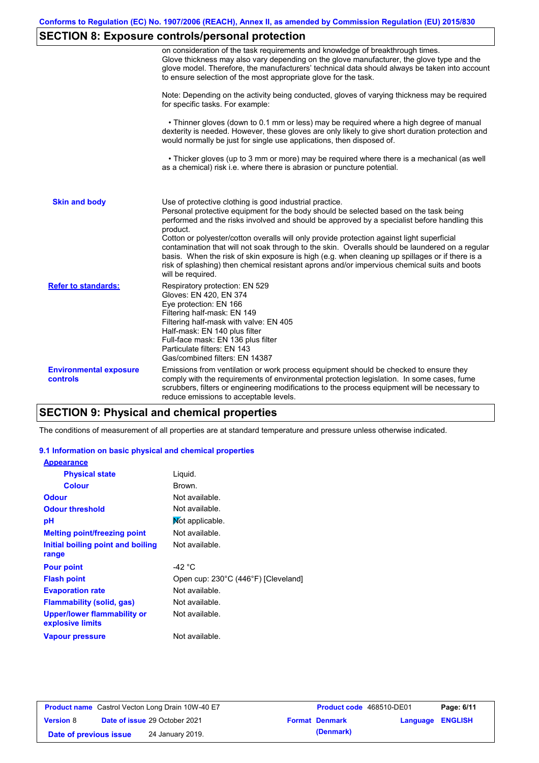# **SECTION 8: Exposure controls/personal protection**

|                                           | on consideration of the task requirements and knowledge of breakthrough times.<br>Glove thickness may also vary depending on the glove manufacturer, the glove type and the<br>glove model. Therefore, the manufacturers' technical data should always be taken into account<br>to ensure selection of the most appropriate glove for the task.                                                                                                                                                                                                                                                                                                                                       |
|-------------------------------------------|---------------------------------------------------------------------------------------------------------------------------------------------------------------------------------------------------------------------------------------------------------------------------------------------------------------------------------------------------------------------------------------------------------------------------------------------------------------------------------------------------------------------------------------------------------------------------------------------------------------------------------------------------------------------------------------|
|                                           | Note: Depending on the activity being conducted, gloves of varying thickness may be required<br>for specific tasks. For example:                                                                                                                                                                                                                                                                                                                                                                                                                                                                                                                                                      |
|                                           | • Thinner gloves (down to 0.1 mm or less) may be required where a high degree of manual<br>dexterity is needed. However, these gloves are only likely to give short duration protection and<br>would normally be just for single use applications, then disposed of.                                                                                                                                                                                                                                                                                                                                                                                                                  |
|                                           | • Thicker gloves (up to 3 mm or more) may be required where there is a mechanical (as well<br>as a chemical) risk i.e. where there is abrasion or puncture potential.                                                                                                                                                                                                                                                                                                                                                                                                                                                                                                                 |
| <b>Skin and body</b>                      | Use of protective clothing is good industrial practice.<br>Personal protective equipment for the body should be selected based on the task being<br>performed and the risks involved and should be approved by a specialist before handling this<br>product.<br>Cotton or polyester/cotton overalls will only provide protection against light superficial<br>contamination that will not soak through to the skin. Overalls should be laundered on a regular<br>basis. When the risk of skin exposure is high (e.g. when cleaning up spillages or if there is a<br>risk of splashing) then chemical resistant aprons and/or impervious chemical suits and boots<br>will be required. |
| <b>Refer to standards:</b>                | Respiratory protection: EN 529<br>Gloves: EN 420, EN 374<br>Eye protection: EN 166<br>Filtering half-mask: EN 149<br>Filtering half-mask with valve: EN 405<br>Half-mask: EN 140 plus filter<br>Full-face mask: EN 136 plus filter<br>Particulate filters: EN 143<br>Gas/combined filters: EN 14387                                                                                                                                                                                                                                                                                                                                                                                   |
| <b>Environmental exposure</b><br>controls | Emissions from ventilation or work process equipment should be checked to ensure they<br>comply with the requirements of environmental protection legislation. In some cases, fume<br>scrubbers, filters or engineering modifications to the process equipment will be necessary to<br>reduce emissions to acceptable levels.                                                                                                                                                                                                                                                                                                                                                         |

# **SECTION 9: Physical and chemical properties**

The conditions of measurement of all properties are at standard temperature and pressure unless otherwise indicated.

### **9.1 Information on basic physical and chemical properties**

| <b>Appearance</b>                               |                                     |
|-------------------------------------------------|-------------------------------------|
| <b>Physical state</b>                           | Liquid.                             |
| <b>Colour</b>                                   | Brown.                              |
| <b>Odour</b>                                    | Not available.                      |
| <b>Odour threshold</b>                          | Not available.                      |
| рH                                              | Mot applicable.                     |
| <b>Melting point/freezing point</b>             | Not available.                      |
| Initial boiling point and boiling               | Not available.                      |
| range                                           |                                     |
| <b>Pour point</b>                               | -42 $^{\circ}$ C                    |
| <b>Flash point</b>                              | Open cup: 230°C (446°F) [Cleveland] |
| <b>Evaporation rate</b>                         | Not available.                      |
| <b>Flammability (solid, gas)</b>                | Not available.                      |
| Upper/lower flammability or<br>explosive limits | Not available.                      |
| <b>Vapour pressure</b>                          | Not available.                      |

| <b>Product name</b> Castrol Vecton Long Drain 10W-40 E7 |  |                                      | <b>Product code</b> 468510-DE01 |                       | Page: 6/11              |  |
|---------------------------------------------------------|--|--------------------------------------|---------------------------------|-----------------------|-------------------------|--|
| <b>Version 8</b>                                        |  | <b>Date of issue 29 October 2021</b> |                                 | <b>Format Denmark</b> | <b>Language ENGLISH</b> |  |
| Date of previous issue                                  |  | 24 January 2019.                     |                                 | (Denmark)             |                         |  |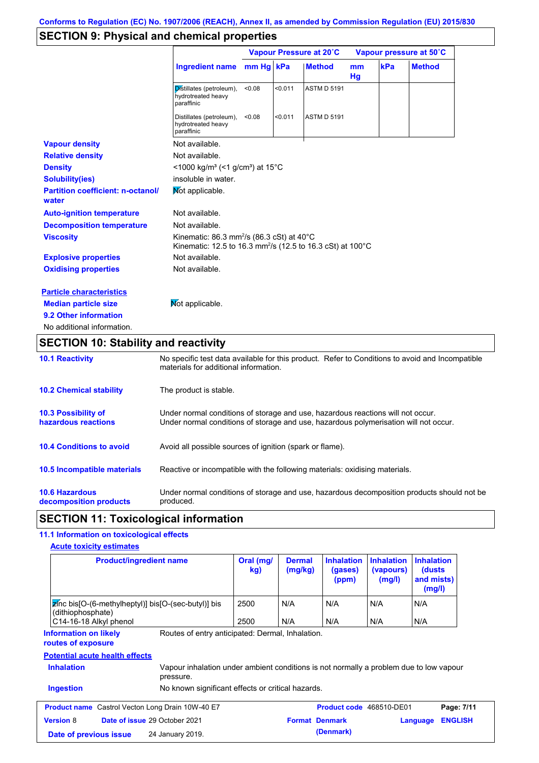## **SECTION 9: Physical and chemical properties**

|                                                   |                                                                                                                                            |           |         | Vapour Pressure at 20°C |                     | Vapour pressure at 50°C |               |  |
|---------------------------------------------------|--------------------------------------------------------------------------------------------------------------------------------------------|-----------|---------|-------------------------|---------------------|-------------------------|---------------|--|
|                                                   | <b>Ingredient name</b>                                                                                                                     | mm Hg kPa |         | <b>Method</b>           | <sub>mm</sub><br>Hg | kPa                     | <b>Method</b> |  |
|                                                   | Distillates (petroleum),<br>hydrotreated heavy<br>paraffinic                                                                               | < 0.08    | < 0.011 | <b>ASTM D 5191</b>      |                     |                         |               |  |
|                                                   | Distillates (petroleum),<br>hydrotreated heavy<br>paraffinic                                                                               | < 0.08    | < 0.011 | <b>ASTM D 5191</b>      |                     |                         |               |  |
| <b>Vapour density</b>                             | Not available.                                                                                                                             |           |         |                         |                     |                         |               |  |
| <b>Relative density</b>                           | Not available.                                                                                                                             |           |         |                         |                     |                         |               |  |
| <b>Density</b>                                    | $\leq$ 1000 kg/m <sup>3</sup> (<1 g/cm <sup>3</sup> ) at 15 <sup>°</sup> C                                                                 |           |         |                         |                     |                         |               |  |
| <b>Solubility(ies)</b>                            | insoluble in water.                                                                                                                        |           |         |                         |                     |                         |               |  |
| <b>Partition coefficient: n-octanol/</b><br>water | Mot applicable.                                                                                                                            |           |         |                         |                     |                         |               |  |
| <b>Auto-ignition temperature</b>                  | Not available.                                                                                                                             |           |         |                         |                     |                         |               |  |
| <b>Decomposition temperature</b>                  | Not available.                                                                                                                             |           |         |                         |                     |                         |               |  |
| <b>Viscosity</b>                                  | Kinematic: 86.3 mm <sup>2</sup> /s (86.3 cSt) at 40 $^{\circ}$ C<br>Kinematic: 12.5 to 16.3 mm <sup>2</sup> /s (12.5 to 16.3 cSt) at 100°C |           |         |                         |                     |                         |               |  |
| <b>Explosive properties</b>                       | Not available.                                                                                                                             |           |         |                         |                     |                         |               |  |
| <b>Oxidising properties</b>                       | Not available.                                                                                                                             |           |         |                         |                     |                         |               |  |
| <b>Particle characteristics</b>                   |                                                                                                                                            |           |         |                         |                     |                         |               |  |
| <b>Median particle size</b>                       | Not applicable.                                                                                                                            |           |         |                         |                     |                         |               |  |
| 9.2 Other information                             |                                                                                                                                            |           |         |                         |                     |                         |               |  |
| No additional information.                        |                                                                                                                                            |           |         |                         |                     |                         |               |  |

# **SECTION 10: Stability and reactivity**

| <b>10.1 Reactivity</b>                            | No specific test data available for this product. Refer to Conditions to avoid and Incompatible<br>materials for additional information.                                |
|---------------------------------------------------|-------------------------------------------------------------------------------------------------------------------------------------------------------------------------|
| <b>10.2 Chemical stability</b>                    | The product is stable.                                                                                                                                                  |
| <b>10.3 Possibility of</b><br>hazardous reactions | Under normal conditions of storage and use, hazardous reactions will not occur.<br>Under normal conditions of storage and use, hazardous polymerisation will not occur. |
| <b>10.4 Conditions to avoid</b>                   | Avoid all possible sources of ignition (spark or flame).                                                                                                                |
| 10.5 Incompatible materials                       | Reactive or incompatible with the following materials: oxidising materials.                                                                                             |
| <b>10.6 Hazardous</b><br>decomposition products   | Under normal conditions of storage and use, hazardous decomposition products should not be<br>produced.                                                                 |

## **SECTION 11: Toxicological information**

## **11.1 Information on toxicological effects**

| <b>Acute toxicity estimates</b> |
|---------------------------------|
|---------------------------------|

| <b>Product/ingredient name</b>                                                                                   |                                                                                                                                                         | Oral (mg/<br>kg) | <b>Dermal</b><br>(mg/kg) | <b>Inhalation</b><br>(gases)<br>(ppm) | <b>Inhalation</b><br>(vapours)<br>(mg/l) | <b>Inhalation</b><br>(dusts)<br>and mists)<br>(mg/l) |                |
|------------------------------------------------------------------------------------------------------------------|---------------------------------------------------------------------------------------------------------------------------------------------------------|------------------|--------------------------|---------------------------------------|------------------------------------------|------------------------------------------------------|----------------|
| $\mathbb{Z}$ nc bis [O-(6-methylheptyl)] bis [O-(sec-butyl)] bis<br>(dithiophosphate)                            |                                                                                                                                                         | 2500             | N/A                      | N/A                                   | N/A                                      | N/A                                                  |                |
| C14-16-18 Alkyl phenol                                                                                           |                                                                                                                                                         | 2500             | N/A                      | N/A                                   | N/A                                      | N/A                                                  |                |
| <b>Information on likely</b><br>routes of exposure<br><b>Potential acute health effects</b><br><b>Inhalation</b> | Routes of entry anticipated: Dermal, Inhalation.<br>Vapour inhalation under ambient conditions is not normally a problem due to low vapour<br>pressure. |                  |                          |                                       |                                          |                                                      |                |
| <b>Ingestion</b>                                                                                                 | No known significant effects or critical hazards.                                                                                                       |                  |                          |                                       |                                          |                                                      |                |
|                                                                                                                  |                                                                                                                                                         |                  |                          |                                       |                                          |                                                      |                |
| <b>Product name</b> Castrol Vecton Long Drain 10W-40 E7                                                          |                                                                                                                                                         |                  |                          | Product code 468510-DE01              |                                          |                                                      | Page: 7/11     |
| <b>Version 8</b><br><b>Date of issue 29 October 2021</b>                                                         |                                                                                                                                                         |                  |                          | <b>Format Denmark</b>                 |                                          | Language                                             | <b>ENGLISH</b> |
| 24 January 2019.<br>Date of previous issue                                                                       |                                                                                                                                                         |                  |                          | (Denmark)                             |                                          |                                                      |                |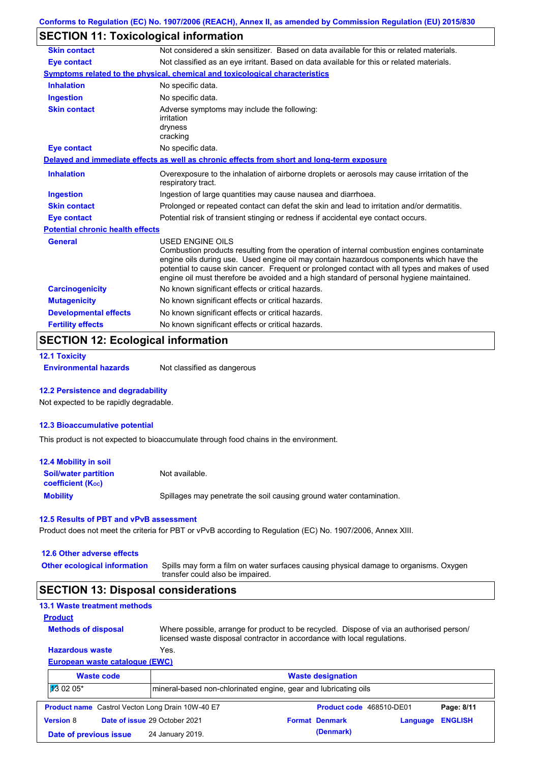# **SECTION 11: Toxicological information**

| Not considered a skin sensitizer. Based on data available for this or related materials.<br>Not classified as an eye irritant. Based on data available for this or related materials.                                                                                                                                                                                                |
|--------------------------------------------------------------------------------------------------------------------------------------------------------------------------------------------------------------------------------------------------------------------------------------------------------------------------------------------------------------------------------------|
|                                                                                                                                                                                                                                                                                                                                                                                      |
|                                                                                                                                                                                                                                                                                                                                                                                      |
|                                                                                                                                                                                                                                                                                                                                                                                      |
|                                                                                                                                                                                                                                                                                                                                                                                      |
|                                                                                                                                                                                                                                                                                                                                                                                      |
|                                                                                                                                                                                                                                                                                                                                                                                      |
|                                                                                                                                                                                                                                                                                                                                                                                      |
|                                                                                                                                                                                                                                                                                                                                                                                      |
| Overexposure to the inhalation of airborne droplets or aerosols may cause irritation of the                                                                                                                                                                                                                                                                                          |
|                                                                                                                                                                                                                                                                                                                                                                                      |
| Prolonged or repeated contact can defat the skin and lead to irritation and/or dermatitis.                                                                                                                                                                                                                                                                                           |
| Potential risk of transient stinging or redness if accidental eye contact occurs.                                                                                                                                                                                                                                                                                                    |
|                                                                                                                                                                                                                                                                                                                                                                                      |
| Combustion products resulting from the operation of internal combustion engines contaminate<br>engine oils during use. Used engine oil may contain hazardous components which have the<br>potential to cause skin cancer. Frequent or prolonged contact with all types and makes of used<br>engine oil must therefore be avoided and a high standard of personal hygiene maintained. |
|                                                                                                                                                                                                                                                                                                                                                                                      |
|                                                                                                                                                                                                                                                                                                                                                                                      |
|                                                                                                                                                                                                                                                                                                                                                                                      |
|                                                                                                                                                                                                                                                                                                                                                                                      |
|                                                                                                                                                                                                                                                                                                                                                                                      |

## **SECTION 12: Ecological information**

```
12.1 Toxicity
```
**Environmental hazards** Not classified as dangerous

#### **12.2 Persistence and degradability**

Not expected to be rapidly degradable.

#### **12.3 Bioaccumulative potential**

This product is not expected to bioaccumulate through food chains in the environment.

| <b>12.4 Mobility in soil</b>                                  |                                                                      |
|---------------------------------------------------------------|----------------------------------------------------------------------|
| <b>Soil/water partition</b><br>coefficient (K <sub>oc</sub> ) | Not available.                                                       |
| <b>Mobility</b>                                               | Spillages may penetrate the soil causing ground water contamination. |

#### **12.5 Results of PBT and vPvB assessment**

Product does not meet the criteria for PBT or vPvB according to Regulation (EC) No. 1907/2006, Annex XIII.

#### **12.6 Other adverse effects**

**Other ecological information**

Spills may form a film on water surfaces causing physical damage to organisms. Oxygen transfer could also be impaired.

### **SECTION 13: Disposal considerations**

|  | <b>13.1 Waste treatment methods</b> |  |
|--|-------------------------------------|--|
|  |                                     |  |

```
Methods of disposal
Product
```
**Hazardous waste** Yes. Where possible, arrange for product to be recycled. Dispose of via an authorised person/ licensed waste disposal contractor in accordance with local regulations.

### **European waste catalogue (EWC)**

| <b>Waste code</b>      |  | <b>Waste designation</b>                                        |  |                          |          |                |  |
|------------------------|--|-----------------------------------------------------------------|--|--------------------------|----------|----------------|--|
| $130205*$              |  | mineral-based non-chlorinated engine, gear and lubricating oils |  |                          |          |                |  |
|                        |  | <b>Product name</b> Castrol Vecton Long Drain 10W-40 E7         |  | Product code 468510-DE01 |          | Page: 8/11     |  |
| <b>Version 8</b>       |  | Date of issue 29 October 2021                                   |  | <b>Format Denmark</b>    | Language | <b>ENGLISH</b> |  |
| Date of previous issue |  | 24 January 2019.                                                |  | (Denmark)                |          |                |  |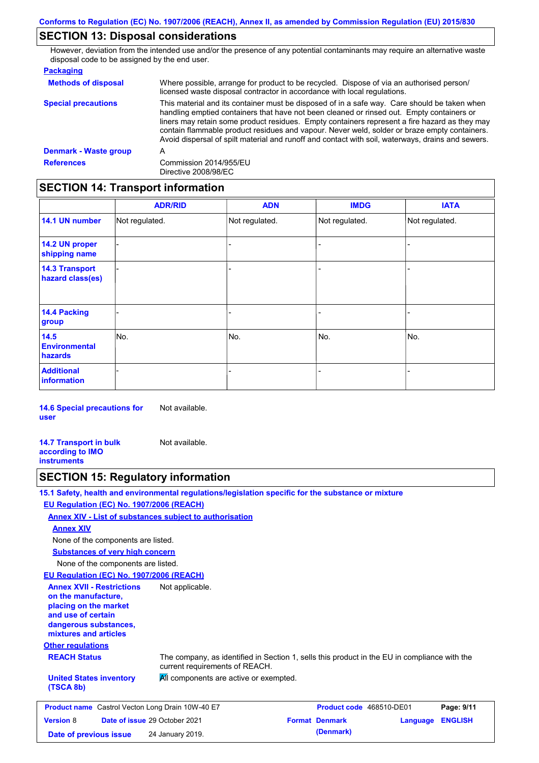# **SECTION 13: Disposal considerations**

However, deviation from the intended use and/or the presence of any potential contaminants may require an alternative waste disposal code to be assigned by the end user.

| <b>Methods of disposal</b>   | Where possible, arrange for product to be recycled. Dispose of via an authorised person/<br>licensed waste disposal contractor in accordance with local regulations.                                                                                                                                                                                                                                                                                                                            |
|------------------------------|-------------------------------------------------------------------------------------------------------------------------------------------------------------------------------------------------------------------------------------------------------------------------------------------------------------------------------------------------------------------------------------------------------------------------------------------------------------------------------------------------|
| <b>Special precautions</b>   | This material and its container must be disposed of in a safe way. Care should be taken when<br>handling emptied containers that have not been cleaned or rinsed out. Empty containers or<br>liners may retain some product residues. Empty containers represent a fire hazard as they may<br>contain flammable product residues and vapour. Never weld, solder or braze empty containers.<br>Avoid dispersal of spilt material and runoff and contact with soil, waterways, drains and sewers. |
| <b>Denmark - Waste group</b> | A                                                                                                                                                                                                                                                                                                                                                                                                                                                                                               |
| <b>References</b>            | Commission 2014/955/EU<br>Directive 2008/98/EC                                                                                                                                                                                                                                                                                                                                                                                                                                                  |

# **SECTION 14: Transport information**

|                                           | <b>ADR/RID</b> | <b>ADN</b>     | <b>IMDG</b>    | <b>IATA</b>    |
|-------------------------------------------|----------------|----------------|----------------|----------------|
| 14.1 UN number                            | Not regulated. | Not regulated. | Not regulated. | Not regulated. |
| 14.2 UN proper<br>shipping name           |                |                | $\blacksquare$ |                |
| <b>14.3 Transport</b><br>hazard class(es) |                |                | -              |                |
| 14.4 Packing<br>group                     |                |                | -              |                |
| 14.5<br><b>Environmental</b><br>hazards   | No.            | No.            | No.            | No.            |
| <b>Additional</b><br><b>information</b>   |                |                |                |                |

**14.6 Special precautions for user** Not available.

**14.7 Transport in bulk according to IMO instruments** Not available.

# **SECTION 15: Regulatory information**

|                                                                                                                                                          | 15.1 Safety, health and environmental regulations/legislation specific for the substance or mixture                            |                          |          |                |
|----------------------------------------------------------------------------------------------------------------------------------------------------------|--------------------------------------------------------------------------------------------------------------------------------|--------------------------|----------|----------------|
| EU Regulation (EC) No. 1907/2006 (REACH)                                                                                                                 |                                                                                                                                |                          |          |                |
|                                                                                                                                                          | Annex XIV - List of substances subject to authorisation                                                                        |                          |          |                |
| <b>Annex XIV</b>                                                                                                                                         |                                                                                                                                |                          |          |                |
| None of the components are listed.                                                                                                                       |                                                                                                                                |                          |          |                |
| <b>Substances of very high concern</b>                                                                                                                   |                                                                                                                                |                          |          |                |
| None of the components are listed.                                                                                                                       |                                                                                                                                |                          |          |                |
| EU Regulation (EC) No. 1907/2006 (REACH)                                                                                                                 |                                                                                                                                |                          |          |                |
| <b>Annex XVII - Restrictions</b><br>on the manufacture.<br>placing on the market<br>and use of certain<br>dangerous substances,<br>mixtures and articles | Not applicable.                                                                                                                |                          |          |                |
| <b>Other regulations</b>                                                                                                                                 |                                                                                                                                |                          |          |                |
| <b>REACH Status</b>                                                                                                                                      | The company, as identified in Section 1, sells this product in the EU in compliance with the<br>current requirements of REACH. |                          |          |                |
| <b>United States inventory</b><br>(TSCA 8b)                                                                                                              | All components are active or exempted.                                                                                         |                          |          |                |
| <b>Product name</b> Castrol Vecton Long Drain 10W-40 E7                                                                                                  |                                                                                                                                | Product code 468510-DE01 |          | Page: 9/11     |
| <b>Version 8</b>                                                                                                                                         | Date of issue 29 October 2021                                                                                                  | <b>Format Denmark</b>    | Language | <b>ENGLISH</b> |
| Date of previous issue                                                                                                                                   | 24 January 2019.                                                                                                               | (Denmark)                |          |                |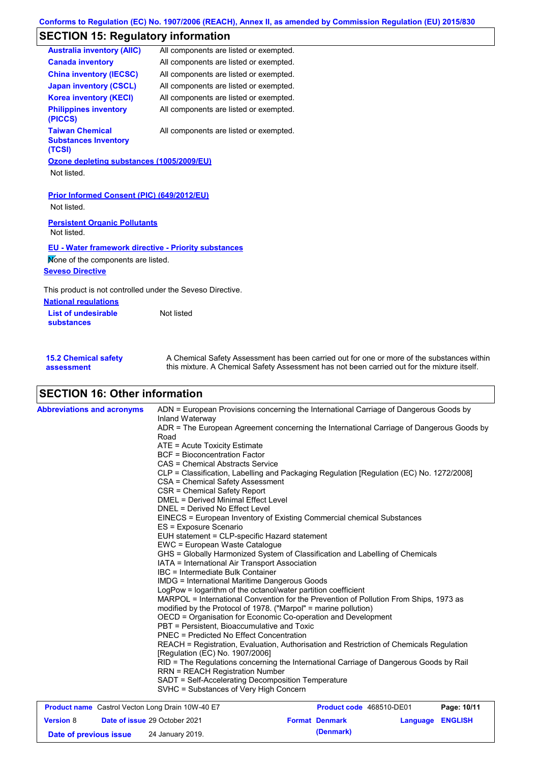# **SECTION 15: Regulatory information**

| <b>Australia inventory (AIIC)</b>                                                                 | All components are listed or exempted. |
|---------------------------------------------------------------------------------------------------|----------------------------------------|
| <b>Canada inventory</b>                                                                           | All components are listed or exempted. |
| <b>China inventory (IECSC)</b>                                                                    | All components are listed or exempted. |
| <b>Japan inventory (CSCL)</b>                                                                     | All components are listed or exempted. |
| <b>Korea inventory (KECI)</b>                                                                     | All components are listed or exempted. |
| <b>Philippines inventory</b><br>(PICCS)                                                           | All components are listed or exempted. |
| <b>Taiwan Chemical</b><br><b>Substances Inventory</b><br>(TCSI)                                   | All components are listed or exempted. |
| Ozone depleting substances (1005/2009/EU)                                                         |                                        |
| Not listed.                                                                                       |                                        |
| Prior Informed Consent (PIC) (649/2012/EU)<br>Not listed.<br><b>Persistent Organic Pollutants</b> |                                        |
| Not listed.                                                                                       |                                        |
| <b>EU - Water framework directive - Priority substances</b>                                       |                                        |
| Mone of the components are listed.                                                                |                                        |
| <b>Seveso Directive</b>                                                                           |                                        |
| This product is not controlled under the Seveso Directive.                                        |                                        |
| <b>National requlations</b>                                                                       |                                        |
| <b>List of undesirable</b><br><b>substances</b>                                                   | Not listed                             |
|                                                                                                   |                                        |
|                                                                                                   |                                        |

| <b>15.2 Chemical safety</b> | A Chemical Safety Assessment has been carried out for one or more of the substances within  |
|-----------------------------|---------------------------------------------------------------------------------------------|
| assessment                  | this mixture. A Chemical Safety Assessment has not been carried out for the mixture itself. |

# **SECTION 16: Other information**

| <b>Abbreviations and acronyms</b> | ADN = European Provisions concerning the International Carriage of Dangerous Goods by<br>Inland Waterway<br>ADR = The European Agreement concerning the International Carriage of Dangerous Goods by<br>Road<br>ATE = Acute Toxicity Estimate<br><b>BCF</b> = Bioconcentration Factor<br>CAS = Chemical Abstracts Service<br>CLP = Classification, Labelling and Packaging Regulation [Regulation (EC) No. 1272/2008]<br>CSA = Chemical Safety Assessment<br>CSR = Chemical Safety Report<br><b>DMEL = Derived Minimal Effect Level</b><br>DNEL = Derived No Effect Level<br>EINECS = European Inventory of Existing Commercial chemical Substances<br>ES = Exposure Scenario<br>EUH statement = CLP-specific Hazard statement<br>EWC = European Waste Catalogue<br>GHS = Globally Harmonized System of Classification and Labelling of Chemicals<br>IATA = International Air Transport Association<br>IBC = Intermediate Bulk Container<br><b>IMDG = International Maritime Dangerous Goods</b><br>LogPow = logarithm of the octanol/water partition coefficient<br>MARPOL = International Convention for the Prevention of Pollution From Ships, 1973 as<br>modified by the Protocol of 1978. ("Marpol" = marine pollution)<br>OECD = Organisation for Economic Co-operation and Development<br>PBT = Persistent, Bioaccumulative and Toxic<br>PNEC = Predicted No Effect Concentration<br>REACH = Registration, Evaluation, Authorisation and Restriction of Chemicals Regulation<br>[Regulation (EC) No. 1907/2006]<br>RID = The Regulations concerning the International Carriage of Dangerous Goods by Rail |
|-----------------------------------|-------------------------------------------------------------------------------------------------------------------------------------------------------------------------------------------------------------------------------------------------------------------------------------------------------------------------------------------------------------------------------------------------------------------------------------------------------------------------------------------------------------------------------------------------------------------------------------------------------------------------------------------------------------------------------------------------------------------------------------------------------------------------------------------------------------------------------------------------------------------------------------------------------------------------------------------------------------------------------------------------------------------------------------------------------------------------------------------------------------------------------------------------------------------------------------------------------------------------------------------------------------------------------------------------------------------------------------------------------------------------------------------------------------------------------------------------------------------------------------------------------------------------------------------------------------------------------------------------------------------|
|                                   | <b>RRN = REACH Registration Number</b><br>SADT = Self-Accelerating Decomposition Temperature<br>SVHC = Substances of Very High Concern                                                                                                                                                                                                                                                                                                                                                                                                                                                                                                                                                                                                                                                                                                                                                                                                                                                                                                                                                                                                                                                                                                                                                                                                                                                                                                                                                                                                                                                                            |

| <b>Product name</b> Castrol Vecton Long Drain 10W-40 E7 |  |                                      | <b>Product code</b> 468510-DE01 | Page: 10/11           |                         |  |
|---------------------------------------------------------|--|--------------------------------------|---------------------------------|-----------------------|-------------------------|--|
| <b>Version 8</b>                                        |  | <b>Date of issue 29 October 2021</b> |                                 | <b>Format Denmark</b> | <b>Language ENGLISH</b> |  |
| Date of previous issue                                  |  | 24 January 2019.                     |                                 | (Denmark)             |                         |  |